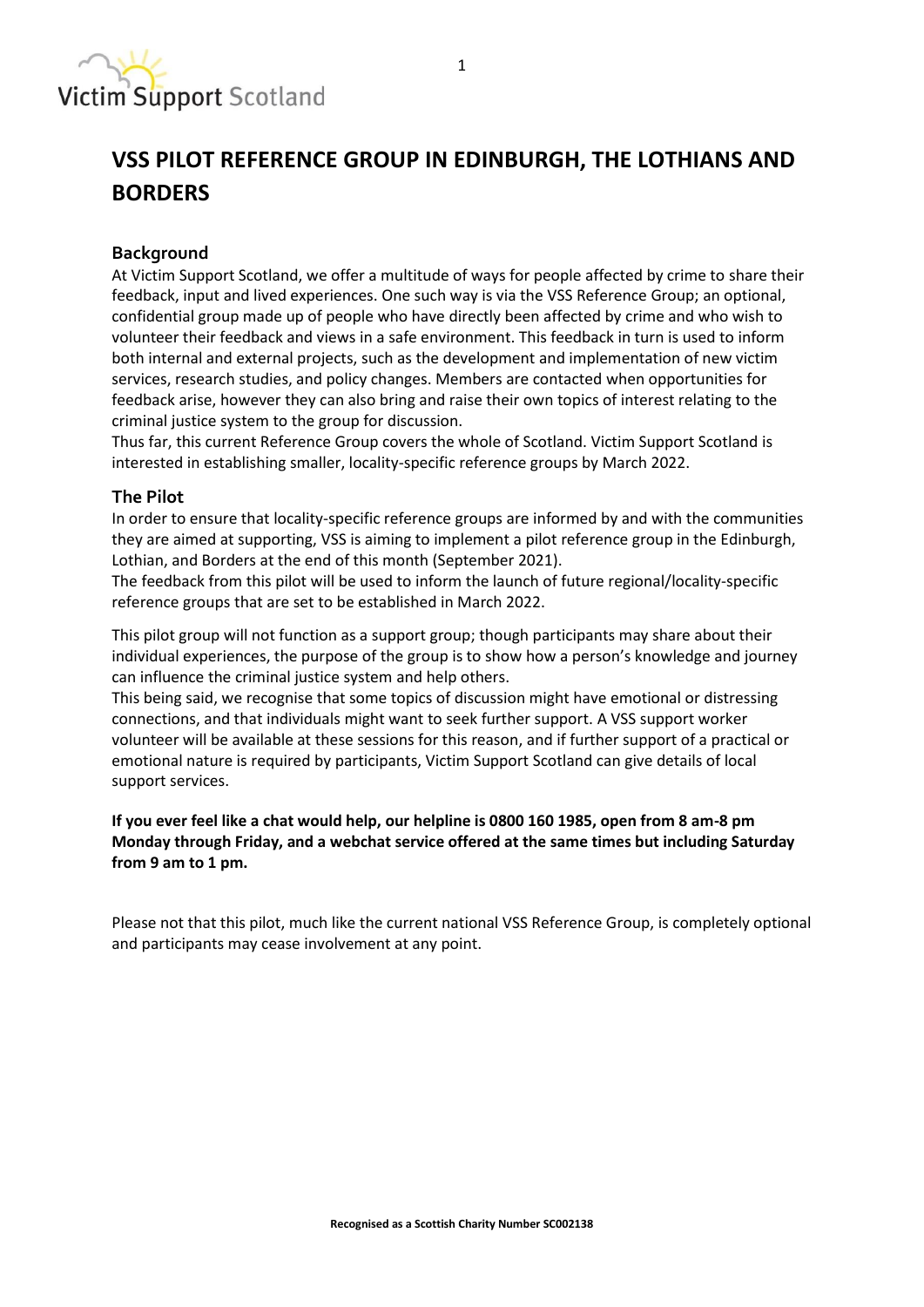

# **VSS PILOT REFERENCE GROUP IN EDINBURGH, THE LOTHIANS AND BORDERS**

## **Background**

At Victim Support Scotland, we offer a multitude of ways for people affected by crime to share their feedback, input and lived experiences. One such way is via the VSS Reference Group; an optional, confidential group made up of people who have directly been affected by crime and who wish to volunteer their feedback and views in a safe environment. This feedback in turn is used to inform both internal and external projects, such as the development and implementation of new victim services, research studies, and policy changes. Members are contacted when opportunities for feedback arise, however they can also bring and raise their own topics of interest relating to the criminal justice system to the group for discussion.

Thus far, this current Reference Group covers the whole of Scotland. Victim Support Scotland is interested in establishing smaller, locality-specific reference groups by March 2022.

#### **The Pilot**

In order to ensure that locality-specific reference groups are informed by and with the communities they are aimed at supporting, VSS is aiming to implement a pilot reference group in the Edinburgh, Lothian, and Borders at the end of this month (September 2021).

The feedback from this pilot will be used to inform the launch of future regional/locality-specific reference groups that are set to be established in March 2022.

This pilot group will not function as a support group; though participants may share about their individual experiences, the purpose of the group is to show how a person's knowledge and journey can influence the criminal justice system and help others.

This being said, we recognise that some topics of discussion might have emotional or distressing connections, and that individuals might want to seek further support. A VSS support worker volunteer will be available at these sessions for this reason, and if further support of a practical or emotional nature is required by participants, Victim Support Scotland can give details of local support services.

**If you ever feel like a chat would help, our helpline is 0800 160 1985, open from 8 am-8 pm Monday through Friday, and a webchat service offered at the same times but including Saturday from 9 am to 1 pm.**

Please not that this pilot, much like the current national VSS Reference Group, is completely optional and participants may cease involvement at any point.